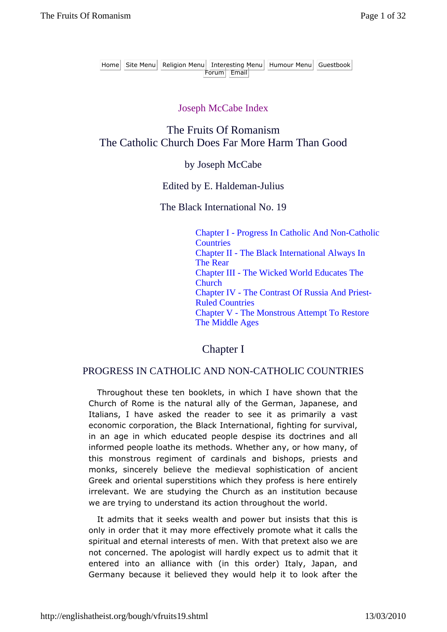### Joseph McCabe Index

## The Fruits Of Romanism The Catholic Church Does Far More Harm Than Good

### by Joseph McCabe

#### Edited by E. Haldeman-Julius

The Black International No. 19

Chapter I - Progress In Catholic And Non-Catholic **Countries** Chapter II - The Black International Always In The Rear Chapter III - The Wicked World Educates The Church Chapter IV - The Contrast Of Russia And Priest-Ruled Countries Chapter V - The Monstrous Attempt To Restore The Middle Ages

Chapter I

#### PROGRESS IN CATHOLIC AND NON-CATHOLIC COUNTRIES

Throughout these ten booklets, in which I have shown that the Church of Rome is the natural ally of the German, Japanese, and Italians, I have asked the reader to see it as primarily a vast economic corporation, the Black International, fighting for survival, in an age in which educated people despise its doctrines and all informed people loathe its methods. Whether any, or how many, of this monstrous regiment of cardinals and bishops, priests and monks, sincerely believe the medieval sophistication of ancient Greek and oriental superstitions which they profess is here entirely irrelevant. We are studying the Church as an institution because we are trying to understand its action throughout the world.

It admits that it seeks wealth and power but insists that this is only in order that it may more effectively promote what it calls the spiritual and eternal interests of men. With that pretext also we are not concerned. The apologist will hardly expect us to admit that it entered into an alliance with (in this order) Italy, Japan, and Germany because it believed they would help it to look after the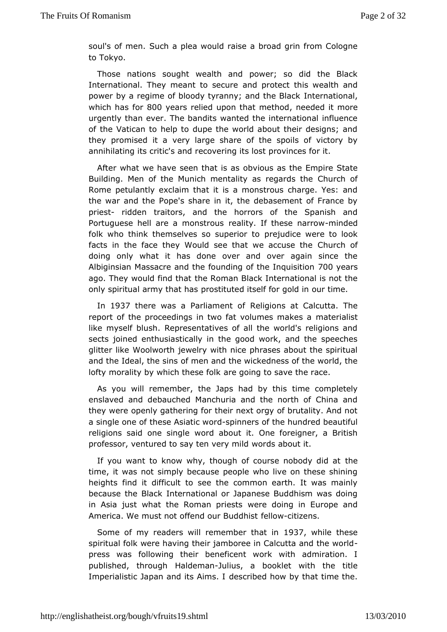soul's of mSeunch a plea would raise a broad grin from Cologn to Tokyo.

Those natios most ght wealth and power; so did the Black International. They meant to be obsect this wealth and power by a regime of bloody tyranny; bant the the Bhand k which has  $800$  years relied upon that meethood it more urgently than ever. The bandits wanted the international infl of the atican to help to dupe the world about their designs; and they promised viera large share of the spoils of victory by annihilating its critrice box and require its lost provinces for it.

After what we have seen tohbavtions as the Empire State Building. Men of the Munich mentality aCshureghards the Rome petulantly exclaim that it is a monstrous charge. Yes: thewar and the Pope's share in it, the debasement of France priestriddentraitors, and the horrors of the Spanish and Portuguese hell are a moenaltintorus of these main rooted folk who think themselves so spupeudocetowere to look facts in the face they Would see that  $\mathcal C$  europe the doing only what it has done over and over again since Albigins Maassacre and the founding of the Olong quasition ago. They would find the Raximan Black International is not the only spiritual army to had shid sted itself for gold in our time.

In 1937 there was a Parliam Reenltigolofins at Calcutta. The report of the proceedings in two fat volmon the sinulaistes a like myself blush. Representatives of all the world's religion sects joined enthusiastically in the good work, and the spee glitter IMK oolworth jewelry with nice phrases about the spiritu and the Ideal, the f smines and the wickedness of the world, the lofty morality by which t**heseng of only** to save the race.

As you will remember, the Japs handeby outhpise tely enslaved and debauched Manchuria and the north of China the were openly gathering for their next orgy of brutality. And a single ontcheosie Asiatic-swpoinchers of the hundred beautiful religions said one woon module bout it. One foreigner, a British professor, ventured to say ten wredrsy anbid dt it.

If you want to know why, though of coursethebody did at time, it was not simply because people who live on these sh heights ind it difficult to see the common earth. It was mair because the BInatuek national or Japanese Buddhism was doing in Asia just what the Romawneperiedsotisng in Europe and America. We must not offend outel Bound direlests.

Some of my readers will rememble9r37 that tiliethhese spiritual folk were having their jamboree in Calcutta and the presswas following their beneficent work with admiration. published, throHuaghIdemaJnulius, a booklet with the title Imperialistic Japan and its sAcimissed how by that time the.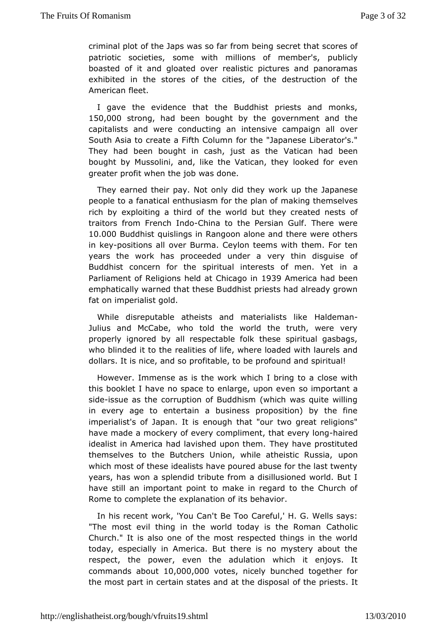criminal plot of the Japs was so fave cfree that insectores of patriotic societies, some with millions poufblomed unber's, boasted of it and gloated over realistic pictures and panor exhibited in the stores of the cities, of the destruction of Americatheet.

I gave the evidence that the Buddhist priests and monl 150,000strong, had been bought by the government and the capitalists and owendeucting an intensive campaign all over South Asia to create a Fifth Columb for the ese Liberator's." They had been bought in cash, justicas ithad been bought by Mussolini, and, like the Vatican, etheory looked for greater profit when the job was done.

They earned their pay. Not to the work up the Japanese people to a fanatical enthusiasm fonrakhinegpthaemosfelves rich by exploiting a third of the world but they created nest traitors from French hlim aoto the Persian Gulf. There were 10.00 Buddhist quislings in Rangoon alone and there were oth in kepositions oa/ler Burma. Ceylon teems with them. For ten years the work has proceeded veun podentina disquise of Buddhist concern for the spiritual interestisn oaf men. Yet Parliament of Religions held at SC319iAcmeoida had been emphatically warned that these Buddhist priests had already g fat onmperialist gold.

While disreputable atheists and matheriald estrain like Julius and McCabe, who told the world the truth, were v properlignored by all respectable folk these spiritual gasba who blinded it troeathioties of life, where loaded with laurels and dollars. It is nice, panditable, to be profound and spiritual!

However. Immense as is the heidholt kbring to a close with this booklet I have no space to enlarge, important and sidessue as the corruption of Buddhism (which was quite wil in every age to entertain a business proposition) by the imperialist's aptan. It is enough that "our two great religions have made a mockery ocfo enypeliment, that eve hyailroendg idealist in America had lavished The what we mprostituted themselves to the Butchers Union, while athpoinstic Russia, which most of these idealists have poured abuse for the last t yearshas won a splendid tribute from a disillusioned world. B have stillime potant point to make in regard to the Church of Rome to complet exphanation of its behavior.

In his recent work, 'You CaC at BefaulT'ord. G. Wells says: "The most evil thing in the world today GathooticRoman Church." It is also one of the most respected things in the today, especially in America. But there is no mystery about respect, thewer, even the adulation which it enjoys. It commands ab  $0.0000,0000$  tesnicely bunched together for the most part in certain states and adf tthe e chisipessisal It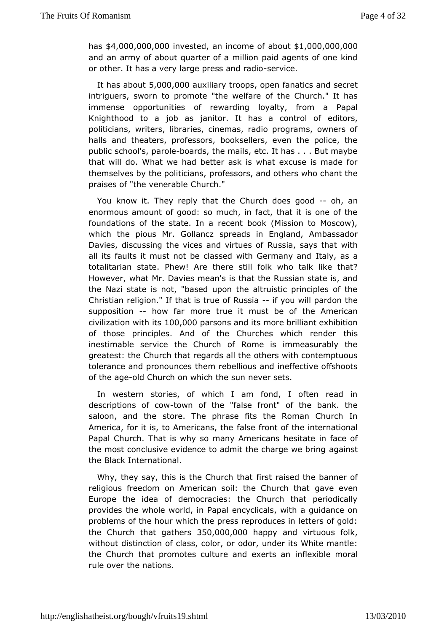$h$  as  $$4.000.000.00$   $$0$  estead n income of a \$1,000,000,000,000 and an army of about quarter of a million paid agents of one or other. It has a very large pressrance radio

It has ab $\Phi \Psi \Phi$ 00,00 $\omega$ uxiliary trooppes fanatics and secret intriguers, swopmot pote "the welfare of the Church." It has immense opportunities of reloward thing from a Papal Knighthood to a job as janitor. It has eaditcoorsstrol of politicians, writers, libraries, cinemas, radio programs, own halls and theaters, professors, booksellers, even the police publischool's, paboleds, the mails, etc. It has . . . But maybe that will dNohat we had better ask is what excuse is made for themselves by the polptrice frances and others who chant the praises of "the venCehruanbdhe."

You know it. They reply that the Churchold peesn good enormous amount of good: so much, in fact, that it is one of foundationsthoef state. In a recent book (Mission to Moscow), which the pious Mr. Gsoplrands in England, Ambassador Davies, discussing the vices anRussitaues ags that with all its faults it must not be classed withtaGevermasing and totalitarian state. Phew! Are there still folk who talk like However, what Mr. Davies mean's is that the Russian state is the Nazi stiastenot, "based upon the altruistic principles of the Christian religiomat is true of Ruissiyou will pardon the supposition how far motrreue it must be of the American  $civilization$  with  $0,100$ ,  $1000$   $p$  arsons and to brilliant exhibition of those principles. And of the Churchesthwibich render inestimable service the Church of Rome is immeasurably greatest: Chheurch that regards all the others with contemptuou tolerance and pronotwem rebellious and ineffective offshoots of the aged Church on which the e erus nets.

In western stories, of which I am fond, I often read descriptions of town of the "false front" of the bank. the saloon, and sthoere. The phrase fits the Roman Church In America, for it is, to Amerfiaclases, frichnet of the international Papal Church. That is why so manhy e Aim the team of a ce of the most conclusive evidence to admit the acomaing set we bring the Black International.

Why, they say, this is the Chiusthratih seed the banner of religious freedom on American soil: the aChue obnthat Europe the idea of democracies: the Church that periodic provideshe whole world, in Papal encyclicals, with a guidance problems of the which the press reproduces in letters of gold: the Church that  $q$   $d\mathcal{F}$   $\mathcal{F}$   $d\mathcal{F}$ ,  $\mathcal{F}$   $\mathcal{F}$   $0$   $0$ ,  $0$   $0$   $0$   $0$   $0$   $p$   $p$   $q$   $n$   $d$   $y$   $i$   $r$   $t$   $u$   $o$   $y$   $s$   $f$   $o$   $l$   $k$ without distinction of classo,  $d$  oo,  $l$  our, doerr its White mantle: the Church that promotes culture and flee xeible an oral rule over the nations.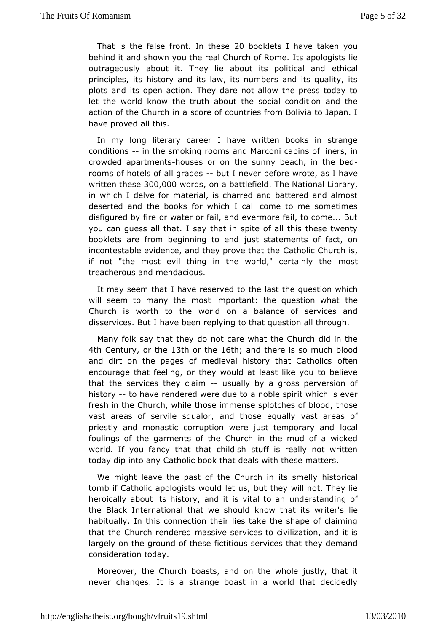That is the false front.  $20$  bto hele ets I have taken you behind it and shown you the real Chultschapool Ropins es lie outrageously about it. They lie about itsetpicclatical and principles, its history and its law, its numbers and its quali plots and its open action. They dare not allow the press tod let the wokhow the truth about the social condition and the action of the Chursboire aof countries from Bolivia to Japan. I have proved all this.

In mylong literary career I have written books in strang conditions n themoking rooms and Marconi cabins of liners, in crowded apartmheonutses or tohne sunny beach, in the bed rooms of hotels of all-opundeleshever bewfoortee, as I have written the \$00,000 ords n a battlefilended National Mary, in which I delve for material, is charred and battered and a deserted and the books for which I call come to me someti disfigured by ofineater or fail, and evermore fail, to come... Bu you can guess all shatthat in spite of all this these twenty booklets are from beginning usto setatlements of fact, on incontestable evidence, and they pcarred that Cthuerch is, if not "the most evil thing in the world, "mosttainly the treacherous and mendacious.

It may seem that I have reser has the thore ustion which will seem to many the most important: the to the stion what Church is worth to the world on a balance of services disservices. Bautel been replying to that question all through.

Many folk say thad othreovt care what the Church did in the 4th Centuroyr the13th or the63th; andthere is so much blood and dirt on the pages of medieval history of heart Catholics encourage that feeling, or they would at least like you to be thatthe services they-cluasionally by a gross perversion of history to havreendered were due to a noble spirit which is eve fresh in the Churcht, h w shelem mense splotches of blood, those vast areas of servile squalor, eanudalltyhouseest areas of priestly and monastic corruption were just locan porary and foulings of the garments of the Church in the mud of a wid world. Vou fancy that that childish stuff is really not writt today dip into Canthyolic book that deals with these matters.

We might leave the parate Colfurch in its smelly historical tomb if Catholic apologists wbutdthey wsill not. They lie heroically about its history, and it uins derisat antidinagon of the Black International that we should know libeat its writer' habitually. In this connection their lies take the shape of cl thatthe Church rendered massive services to civilization, and largely on ghoeund of these fictitious services that they deman consideratticoday.

Moreover, the Church boasts, and on the whole justly, that neverchanges. It is a strange boast in a world that decide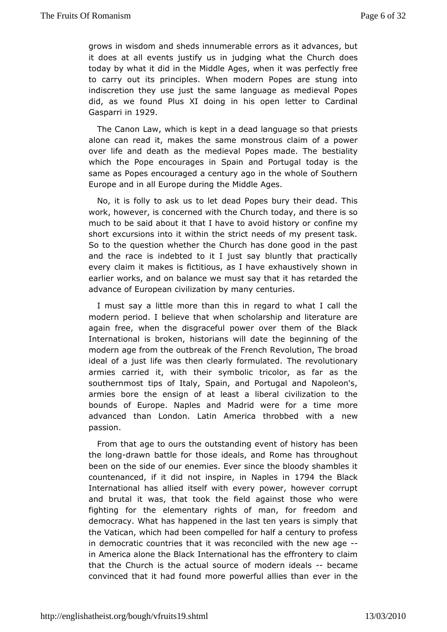grows in wisdom shands innumerable errors as it advances, but it does at all events jusiif dyging in hat the Church does today by what it did in the Middle Avgasspewrihes onlight free to carry out its principles. When modern Popes are stung indiscretion they use just the same language as medieval P did, as we forthuds XI doing in his open letter to Cardinal Gasparri 19n29

The Canbaw, which is kept in a dead language so that pries alone can read it, thakes ame monstrous claim of a power over life and death as the medimenade. Popes bestiality which the Pope encourages in Spain and Potheugal today is same as Popes encouraged a century ago in the whole of Sou Europe aimdall Europe during the Middle Ages.

No, it is folly to ask deato Pepes bury their dead. This work, however, is concerned with to the plann the factor is so much to be said about it that I have to  $x$  conifid n heismigry or short excursions into it within the strict needs of my present So to the question whether the Church has done good in the and the racendsebted to it I just say bluntly that practically every claim it makiestitisous, as I have exhaustively shown in earlier works, and on bamansdes we that it has retarded the advance of European civilizaticoenn buy rime any

I must say a little more than this in regard to what I call modern period. I believe that when scholarship and literatur again frewehen the disgraceful power over them of the Black International is bhoken, ians will date the beginning of the modern age from the outbre Farke root ht hRee volution, The broad ideal of a just life was then clearlTyh formew ob auteidonary armies carried it, with their symbolic tricolor, as far as southernmost tips of Italy, Spain, and Portugal and Napole armies bore  $\phi$ heign of at least a liberal civilization to the bounds of Europe. NaplMeadaindd were for a time more advanced than London. Latin America thrombebwed with a passion.

From that age to ours the outstanding everbteen history has the londgrawn battle for those ideals, and Rome has througho been on thie e of our enemies. Ever since the bloody shambles countenanced, if  $n$  btdid spire Naples 17 $n$ 94 the Black International has allied iesvelfy wo old wer, how ever corrupt and brutal it was, that took the fibelooseagwahionstwere fighting for the elementary rights of man, for freedom  $\varepsilon$ democracy. What has happened in the last ten years is simply the Vaticam, chich had been compelled for half a century to profe in democratic cout that it was reconciled with the new age in America alone then Belancaktional has the effrontery to claim that the Church is the actual msodern idealscame convinced that it had found more powere we rall hietshethan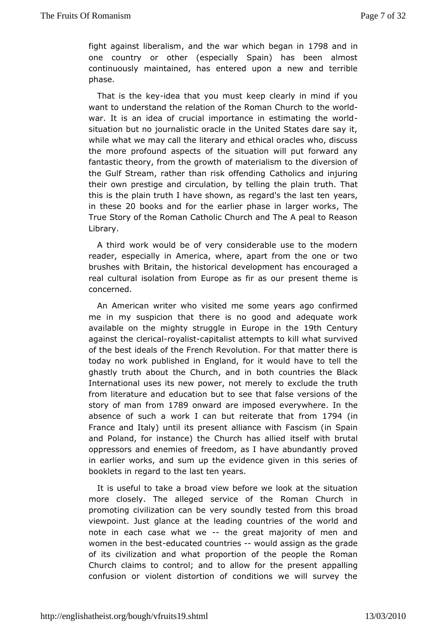fight against liberal distributed war which belo. Tagn 8 and in one country or other (especially Spain) has been almos continuously maintaineech, tehras upon a new and terrible phase.

That is the-ildeeva that you mkaespo clearly in mind if you want to understand the relation of the tRoothhaen woo had ch war. It is an idea of crucial importance in estimating the w situation but no journalistic oracle in the United States dare whil what we may call the literary and ethical oracles who, dis the more profoausmodects of the situation will put forward any fantastic theory, from the form a wethialism to the diversion of the Gulf Stream, rather than ris Cka of the hodsing and injuring their own prestige and circulation, by telluithig The atplain this is the plain truth I have shown, as regaed 's the last ten in the  $\leq 20$  books and for the earlier phase in The eger works TrueStory of the Roman Catholic Church and The A peal to Reason Library.

A third work would be of very considerable use to the mod reader, especiaAlmeirrica, where, apart from the one or two brushes with Britain, the cheise operation has encouraged a real cultural isolation from Europe paestintatsheme is concerned.

An American writer who visited me aspoomeoneer are d me in my suspicion that there is no good and adequate w available on the mighty struggle in Elertop@entuthye against the cleric advalist allist attempts to kill what survived of the best ided at the French Revolution. For that matter there is today no work publis Enregal aimed, for it would have to tell the ghastly truth about the Churdoho, than columitries the Black International uses its new power, not metteby ttatlexclude from literature and education but to see that false versions story of man ftrom 9 onward are imposed evert worth heere absence of suwhoral can but reiterate that  $0.4$  (from France and Italy) until itallpansent with Fascism (in Spain and Poland, for instance) the Churich sehias with libelautal oppressors and enemies of freedom, as I hparvoe ead bundantly in earlier works, and sum up the evidence given in this seri booklets in regard to the last ten years.

It is useful to take  $\boldsymbol{\mathsf{a}}$  is a broad fore we look at the situation more closely. The alleged serviceman the rin in promoting civilization can be very soundly besaedd from this viewpoint. Just glance at the leading countries of the world note ineach case what--whe great majority of men and women in the -belatate countries would assign as the grade of its civilization and what opfrotphoertpioenople the Roman Church claims to control; and to allow for properly helingeresent confusion or violent distortion of conditions we will surve<sup>'</sup>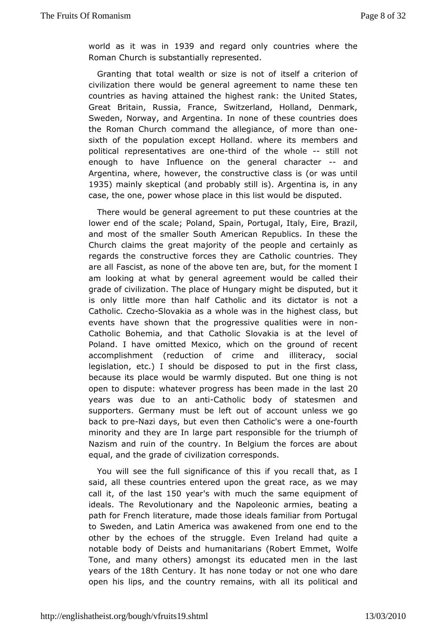worldas it was 1903 9 and regard only countries where the Roman Churchubsstantially represented.

Granting that total wealth or sizes eist maotcrofferion of civilization there would be general agreemessent theon name countries as having attained the highest rank: the United St Great Britain, Russia, France, Switzerland, Holland, Denn Sweden, Norwaanyd, Argentina. In none of these countries does the Roman Church command blecthaence, of more than one sixth of the population except  $H$ ollannde. ministered into political representatives thaire onethe who setill not enough to have Influence on the general and aracter Argentina, wheowever, the constructive class is (or was until 1935 mainly skept (acrad probably still is). Argentina is, in any case, the one, power whostehips laiset impould be disputed.

There would be general agreement douputiebeate the lower end of the scale; Poland, Spain, PorBurgazil, Italy, Eire, and most of the smaller South American Republics. In these Churchlaims the great majority of the people and certainly regards the nstructive forces they are Catholic countries. The are all Fascist, acsf ntbeeabove ten are, but, for the moment I am looking at what by a eneer alent would be called their grade of civilization. The placenion ht be equity puted, but it is only little more than half Cathobiloitataondisits not a Catholic. Cz $\texttt{Stowakia}$  as a whole was in the hightest class, events have shown that the progressive quali-ties were in Catholic bemia, and that Catholic Slovakia is at the level Poland. I have omMetxeido, which on the ground of recent accomplishment (reduction of criilmideer and disposition legislation,  $etc.$ ) I should be disposed to  $q$  at  $sin$  the first because its place would be warmly disputed. But one thing i open tobispute whatever progress has been made  $20n$  the last years was due to an an Catholic body of statesmen and supporters. Germany must be lædtoouuntt oufniess we go back to pNazi days, but even then Cathoolince foo wrahe a minority and they are In large part responsible for the trium Nazism and ruin of the country. In Belgium the forces are a equal, and othe de of civilization corresponds.

You will see the full signithics  $\sin$  the  $\sin$  recall that, as I said, all these countries entered upwonethæsgweeamay call, ibf the laist 0 yeas with much the same equipment of ideals. The Revolutionary and the Napoleonic armies, beati path for Freinteer ature, made those ideals familiar from Portuga to Sweden, and America was awakened from one end to the other by the echoes of the  $Est$ eng  $g$  deland had quite a notable body of Deists and humanitarians (*R*obert Emmet, Tone, and many others) amongst its educated men in the I years of theseh Centurly has none today or not one who dare open his lips, and outhery remains, with all its political and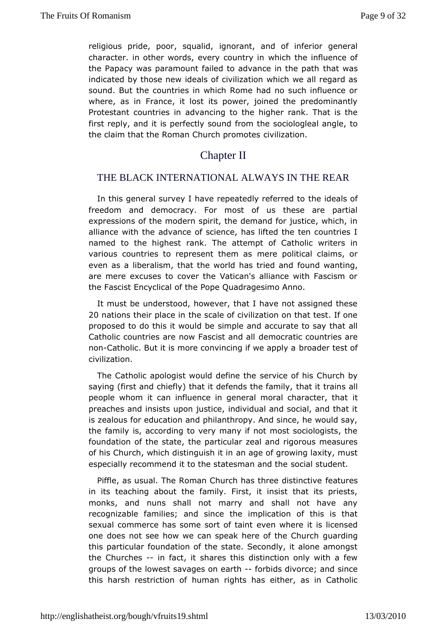religious pride, poor, isponoabidt, and of inferior general character. in other words, everywhich the imfluence of the Papacy was paramount failed to advancet iwatshe path indicated by those new ideals of civilization which we all reg sound. But the countries in which Rome had no such influen where, as Fimance, it lost its power, joined the predominantl Protestant countrads aimcing to the higher rank. That is the first reply, and it is perfectdom stonen slociologieal angle, to the claim that the Roman Church pilomaotes.

# Chapter II

### THE BLACK INTERNATIONAL ALWAYS IN THE REAR

In this general survey I have repeated the idealing of to freedom and democracy. For most of us these are part expressions of the modern spirit, the demand for justice, whi allian we th the advance of science, has lifted the ten countri named to the highlanest The attempt of Catholic writers in various countries to represent the thee mobistical claims, or even as a liberalism, that the world floousndtriweedhtaing, are mere excuses to cover the Vatican's alliance with Fasci the Fascist Encyclical of the Pope Quadragesimo Anno.

It must benderstood, however, that I have not assigned thes 20 nations their plance sinale of civilization on that test. If one proposed to do this it wormupdleband accurate to say that all Catholic countries are now Fasicimet canadical countries are non-Catholic. But it is more convincing bibawe be a plot of a broader test of civilization.

The Catholic apologist wouldsdevine of the schurch by saying (first and chiefly) that it defenhdest till et rfaaim silya, II people whom it can influence in general morallt character, the preaches and insists upon justice, individual and social, and iszealous for education and philanthropy. And since, he would the family aics cording to very many if not most sociologists, the foundation of the tshteat pearticular zeal and rigorous measures of his Church, which distinagnuiasgheib fing rowing laxity, must especially recommend it to the statessoncatal asnt od dtehnet.

Piffle, as usual. The Roman Church has that ereistinctive in its teaching about the family. First, it insist that its  $p_1$ monks, and nuns shall not marry and shall not have any recognizable famahidessince the implication of this is that sexual commerce has some sogrweonf whan enter it is licensed one does not see how we can speak heregoartching Church this particular foundation of the state. Secondly, it alone am the Churches in fact, it shares this distinction only with a fe groups of toweest savages on-earth ds divorce; and since this harsh restricthoman rights has either, as in Catholic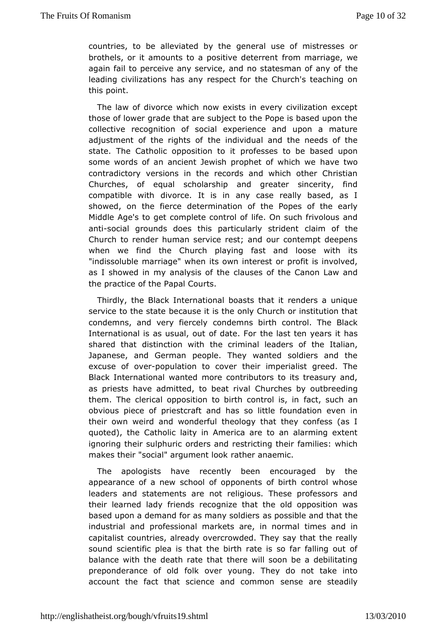countries, to be alleviated eberaheuse of mistresses or brothels, or it amounts to a positive mdemerrience, we again fail to perceive any service, and no stahesman of any leading civilizations has any respect for the Church's teach thispoint.

The law of divorce which now exists in every civilization e those of lower grade that are subject to the Pope is based up collective cognition of social experience and upon a matur adjustment of the rights individual and the needs of the state. The Catholic opposition to sest to be based upon some words of an ancient Jewish prophehtané which we contradictory versions in the records and which other Chri Churches, of equal scholarship and greater sincerity, compatible wdithorce. It is in any case really based, as I showed, on the fdeteemination of the Popes of the early Middle Age's to get completelic entoal soutch frivolous and antisocial grounds does this particularby mstordent Church to render human service rest; and our contempt deep when we find the Church playing fast and loose with it "indissoluble marriaget" swown em interest or profit is involved, as I showed in my analyscstans the Canon Law and the practice of the Papal Courts.

Thirdlyhe Black International boasts that it renders a uniq service to the bseateuse it is the only Church or institution tha condemns, and very foencolely nns birth control. The Black International is as usual, out bifed batset fear years it has shared that distinction with the crimintal letadieans, of Japanese, and German people. They wanted soldiers and excuse of e-population to cover their imperialist greed. The Black International maneedontributors to its treasury and, as priests have admitted, to Obheuartchrewalby outbreeding them. The clerical opposition to birth faced pts oulch is a nin obvious piece of priestcraft and has so little foundation ev their own weird and wonderful theology that they confess ( quoted), the atholic laity in America are to an alarming exter ignoring their sulopholeris and restricting their families: which makes their "social" argumeet mite road rather .

The apologists have recently been encouraged by the appearance of a new school of opponents of birth control w leaders and the ments are not religious. These professors an their learned lady frei enginsize that the old opposition was based upon a demand for as many psoodslibles and that the industrial and professional markets atrieme in amodrminal capitalist countries, already overcrowded. They say that the sound scientific plea is that the birth rate is so far falling balancwith the death rate that there will soon be a debilitat preponderance of oboddover young. They do not take into account the fact that science and those month steadily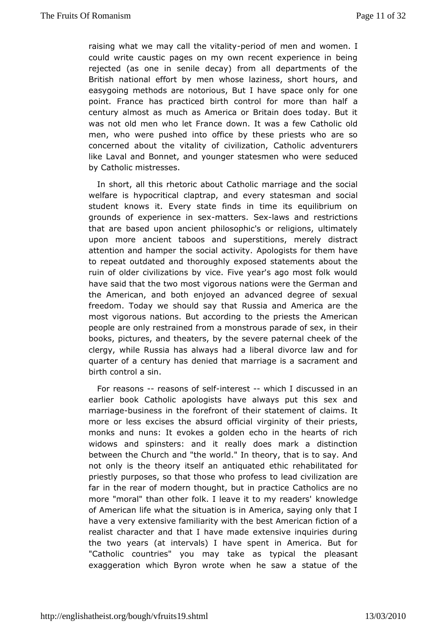raising what we may call the erviot to loof vmen warmden. I could write caustic pages on my own recent experience in t rejecte(das one in senile decay) from all departments of th British national efforeth bowhose laziness, short hours, and easygoing methods are notorious, shautel chralwe for one point. France has practiced birth control foramore than ha century almost as much as America or Britain does today. B was not omden who let France down. It was a few Catholic ol men, who were pushed ffling to by these priests who are so concerned about the vitality of Catholic adventurers like Laval and Bonnet, and younger statesmet and were by Catholic mistresses.

In short, all this rhetoric abonualrCiantoneolained the social welfare is hypocritical claptrap, and eveen of solutions and solutions we student knows it. Every state finds in time its equilibrium grounds of experiencement ses. Sleaws and restrictions that are basedn ancient philosophic's or religions, ultimately upon more ancient tabossupensotitions, merely distract attention and hamper the social podotrivisity for them have to repeat outdated and thoroughly exposædostatheenents ruin of older civilizations by vice. Five year's ago most folk have said that the two most vigorous nations were the Germar the Americannd both enjoyed an advanced degree of sexual freedom. Today we should Reasy sitah aathol America are the most vigorous nations. But according the the epinice and still people are only restrained from a monstrous parade of sex, ir books, pictures, and theaters, by the severe paternal cheek clergy, whRussia has always had a liberal divorce law and f quarter of a centudy emies that marriage is a sacrament and birth control a sin.

For reasonseasons of-indeterest which I discussed in an earlier book Cathoodic gists have always put this sex and marriagoeusiness in the forefhoenit statement of claims. It more or less excises the absurd offocial evirginity is, monks and nuns: It evokes a golden echo in the hearts of widows and spinsters: and it really does mark a distinct between the Chaurdh"the world." In theory, that is to say. And not only is the theory athstellofuathed ethic rehabilitated for priestly purposes, so that those two hiloe and cofievs bization are far in the rear of modern thought,  $bG$  tatimo bicasc taice no more "moral" than other folk. I leave it knowlyed geneders' of American life what the situation is in America, saying only have a very extensive familiarity with the best American fictic realistharacter and that I have made extensive inquiries dur the two yearsin(betrvals) I have spent in America. But for "Catholic countries" you may typical as he pleasant exaggeration which Byron wrote when he saw a statue of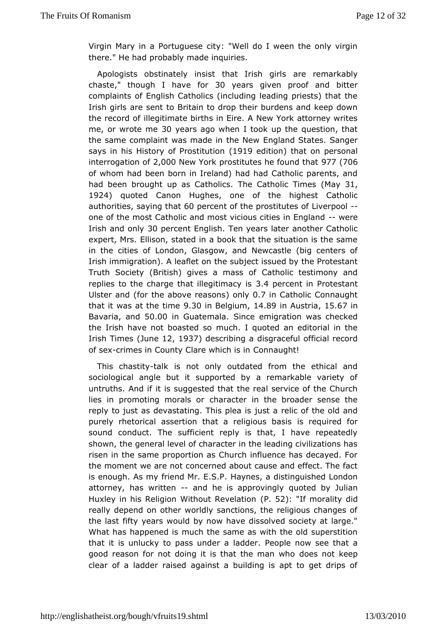Virgin Mary in a Portuguese city: "Well do I ween the only v there." He **had** bably made inquiries.

Apologists obstinately insist that arlerist meaninkably chast'e though I have 3for years given proof and bitter complaints of English Catholics (including leading priests) th Irish gialnse sent to Britain to drop their burdens and keep do the record ildegitimate births in Eire. A New York attorney writ me or wrote m30 yearago when I took up the question, that the same complaint was made iEnnthen New tates. Sanger says in his History of Pr(d  $\mathfrak{B}$ ti  $\mathfrak{B}$ uetd othion thaton personal interrogatio 2, @ 0 ONew York prostitutes he f90 747 (70 Othat of whom had been born in Ireland) had had Catholic parents, had been brougohtas Cathollics Catholic T(iMhaeys31, 1924 quoted Canon Hugchress of the highest Catholic authorities ying the altercent of the prostillin the spo-61 one of the most Catholic and most vicious ciwies ein England Irish and only percent English years later another Catholic expert, MEslison, stated in a book that the situation is the same in the cities conficton, Glasgow, and Newcastle (big centers of Irish immigration). A leael stubject issued by the Protestant Truth Society (British) gives Gathaos is otfestimony and replies to the charge that ille3q#tprocerentsPinotestant Ulster and the above reason langlers. 7 in Catholic Connaught that it was at the 3.13 onie Belgium 4.89 in Austria 67 in Bavaria, a 50.0d. 0 0 in Guatema Siance emigration was checked the Irish have not boarst text so quoted an editorial in the Irish Tim(dunet 2, 1937 describing ingraceful official record of sex rimes in County Clare wChoch has gimt!

This chastatlyk is not only outdated from the ethical and sociological angle but it supported by a remarkable variet untruths. Anid is suggested that the real service of the Churc lies in promoting mocahlasracciter in the broader sense the reply to just as devastating. Tuhsits aplreealics of the old and purely rhetorical assertion that a resligrieoquusirbelsifsor sound conduct. The sufficient reply is that, I have repeat shown, the general level of character in the leading civilizations risen the same proportion as Church influence has decayed. the moment we ar eonotrned about cause and effect. The fact is enough. As my friend MHray EeSs, Pa distinguished London attorney, has writtend he is approvoingly of by Julian Huxley in his Religion Without (PR 52) elattion moralidiy d really depend on other worldly sanctions, the religious chang the last fity years would by now have dissolved society at lard What has happen red chs the same as with the old superstition that it is unlucky to passlaud deer Reople now see that a good reason for not doing it is that dbesmmant wheep clear of a ladder raised against a building is apt to get dr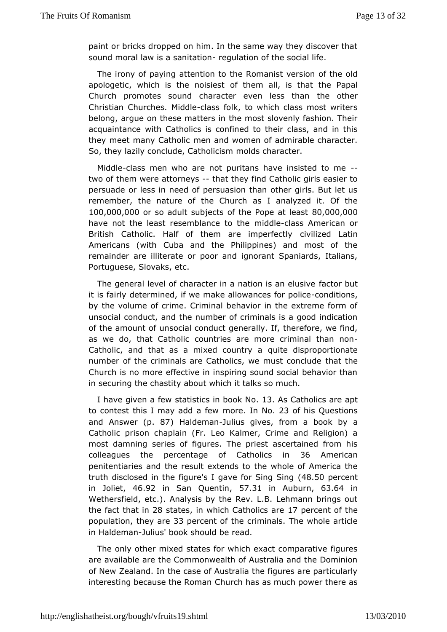paint or bricks dropped on him. In the same way they discover sound motaw is a sanitatiomlation of the social life.

The irony of pasy the gtion to the Romanist version of the old apologetic, which is the ofiotisse erricall, is that the Papal Church promotes sound character evenhelesshehan Christian Churches. CMaisdsdlfeolk, to which class most writers belong, argue on these matters in the most slovenly fashion. acquaintan cetholics is confined to their class, and in the they meet many Canheonliand women of admirable character. So, they lazily conclude, Omachoosichsam acter.

Middlelass men who are not puritans have insisted to me two of them were attorthey sthey find Catholic girls easier to persuade or less in need of persuasion than other girls. But remembethe nature of the Church as I analyzed it. Of the  $100,000,000$  so adsult piects of the Pope  $20,000$ have not the least resemblance ed dike the sess American or British Catholic. Half of them are cimiple refole at latin Americans (with Cuba and the Philippines) and most of remainder are illiterate or poor and ignorant Spaniards, Ita Portugue Seovaks, etc.

The general level of character in a natifoanctiosrabutelusive it is fairly determined, if we make allowance stitonspolice by the volume of crime. Criminal behavior in the extreme for unsocia bnduct, and the number of criminals is a good indicat of the amound nostocial conduct generally. If, therefore, we find as we do, that Cadbohitgies are more criminal than non Catholic, and that as a mixed quoiuent dyisparoportionate number of the criminals are Catholics, wethmat stth conclude Church is no more effective in inspiring sound social behavio insecuring the chastity about which it talks so much.

I have given as ffæt wistics in bood K3. No Catholics are apt to contest this I may ad od be faw No. 23 of his Questions and Answepr. 87) Haldemaunulius gives, farobnook by a Catholic prison chaplain (Fr. Leo Kalmer, Crime and Religi mostdamning series of figures. The priest ascertained from colleagues the rcentage of Catholi<sup>86</sup> Ammerican penitentiaries and the result the tem hole and America the truth disclosed in the figure's I gave(4f&o.r5QSpion.gco-Sching in Jolie46.92 in San Quen5i7n.31 in Aubur63.64 in Wethersfield, etc.). Analysis by the Rev. L.B. Lehmann bring the fact thme  $28$  states n which Catholic  $\vec{s}$  paerecent of the populatidhey are3percent of the criminals. The whole article in Haldemandius' book should dobe

The only other mixed states for which exact comparative fig areavailable are the Commonwealth of Australia and the Domi of New Zealanthelmcase of Australia the figures are particularl interesting because the Ruorman chases much power there as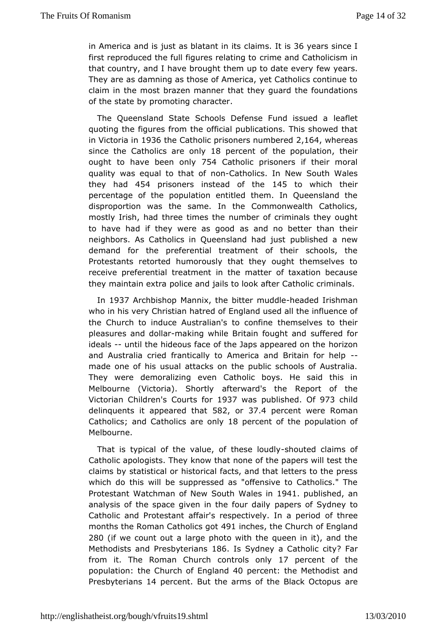in America and is just as blatanimit sitni $\mathfrak F$ t is vears since I first reproduced the full figures rime bataing to catholicism in that country, and I have brought them upfetw date severy They are as damning as those of America, yet Catholics conti claim in the most brazen manner that they guard the foundat of the state proby moting character.

The Queensland State Schools Defense Faunfdetissued a quoting the figures from the official publications. This showe  $invitoria1i9n36$ the Catholic prisoners n $2$ umh $624$ owheedreas since the Catholics are 108 a pyercent of the popullhaetion ought to have been7504 Cyatholic prisoners if their moral quality was equal to ntbact adholics. In New South Wales they had54 prisoners instead off45the which their percentage of the population entitled them. In Queensland disproportion was the same. In the Commonwealth Catholi mostly Irish, thade times the number of criminals they ought to have had if they were ass agroob dno better than their neighbors. As Catholics in Queensland had binasthew demand for the preferential treatment of their schools, Protestants retorted humorously that they ought themselves receivpreferential treatment in the matter of taxation becau they maintain  $\epsilon$  polingual policies to look after Catholic criminals.

In 1937 Archbish Mannix, the bitter meddled Irishman who in his very Christian Emagthreardd ouf sed all the influence of the Church to induce Australian's hem so to heir pleasures and -othoalkaing while Britain fousgulffeared for ideals-until the hideous face of the Japs apportaned on the and Australia cried frantically to America and-Britain for h madeone of his usual attacks on the public schools of Austr They werdeemoralizing even Catholic boys. He said this in Melbourne (Victoria). Siftertward's the Report of the Victorian Chi'sdice ourts flow 37 waspublished 1973 child delinquents it appear 682tha87.4 percent weRroeman Catholicasnd Catholics ard 8omeycent of the population of Melbourne.

That is typical of the value, of-shosteed out dayms of Catholic apologists. They know that none of the papers will te claims by atistical or historical facts, and that letters to the p which do twist be suppressed as "offensive to Catholics." The Protestant Watchman South wwales 941 publish, each analysis of the space given in the apformus odfaissydney to Catholic and Protestant affair's respectivoeflythdea period months the Roman Cathell9 tsngbeshe Church of England  $280$ (if we count out a large photo with the queen in it), and Methodists **Bnesbyterians** Is Sydney a CatholiEacity from it. The Roman Comuntoruls onlity percent of the population the Church of En4gO appear cent the Methodist and Presbyterians percen But the arms of the Blacka Oectopus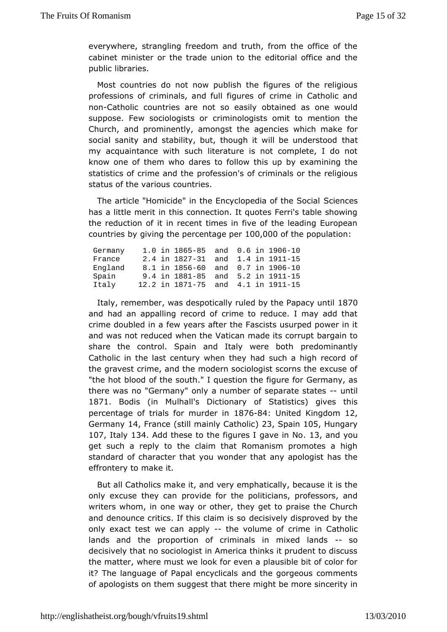everywhere, strangling freedom and truth, from the office of cabinemtinister or the trade union to the editorial office and publildbraries.

Most countries do not now publish the figures of the relic professions of criminals, and full figures of crime in Cathol nonCatholicountries are not so easily obtained as one woul suppose. Few sociologist motogists omit to mention the Church, and prominently, amongst twibicahgemakes for social sanity and stability, but, though it will abe understood my acquaintance with such literature is not complete, I do know one to them who dares to follow this up by examining the statistics of crime **and** febeion's of criminals or the religious status of the vacroinus countries.

The article "Homicide" in the Encyclope Social Social has a little merit in this connection. It quotes Ferri's table s the reduction of it in recent times in five of the leading Eur countries  $q$ bying the percental $q$ 0e0  $p$ 0e0r0f the population

| Germany |  | 1.0 in 1865 - 85 and  |  | 0.6 in 1906 - 10 |
|---------|--|-----------------------|--|------------------|
| France  |  | 2.4 in 1827 - 31 and  |  | 1.4 in 1911 - 15 |
| England |  | 8.1 in 1856 - 60 and  |  | 0.7 in 1906 - 10 |
| Spain   |  | 9.4 in 1881 - 85 and  |  | 5.2 in 1911 - 15 |
| Italy   |  | 12.2 in 1871 - 75 and |  | 4.1 in 1911 - 15 |

Italy remembewas despotically ruled by the Papacy until andhad an appalling record of crime to reduce. I may add t crime doubled few ayears after the Fascists usurped power in i and was not reduced w We thict the made its corrupt bargain to share the control. Spain and Italy pweed new imacumltly Catholic in the last century when they had such a high reco the gravest crime, and the modern sociologist scorns the exce "the hobt bood of the south." I question the figure for Germany, there was "Goermany" only a number of separateristates 1871 Bodis(in MulhalDictionary of Statistics) gives this percentage of trials for mi&e 70684: Unhited Kingdio2m Germany4, Franc(still mainly Catha Boain 05 Hungary 107, Italy134 Add these to the figures I gas, eand No ou getsuch a reply to the claim that Romanism promotes a high standard of chart hat wou wonder that any apologist has the effrontery to make it.

But aClatholics make it, and very emphatically, because it is only excuse the proamide for the politicians, professors, and writers whom, in one way **bregthet**, to praise the Church and denounce critics. If this dœl aiism vieslys odisproved by the only exact test we can-thopeply olume of cimim Ceatholic lands and the proportion of criminals in--msixed lands decisively that no sociologist in America thinks it prudent to thematter, where must we look for even a plausible bit of color it? The anguage of Papal encyclicals and the gorgeous comme of apologists on subgegmest that there might be more sincerity in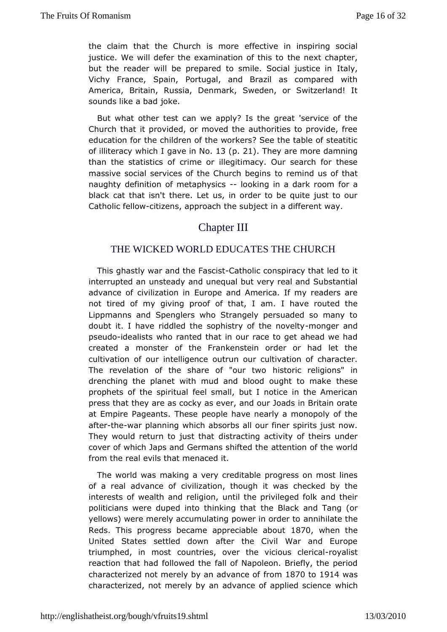the claim that the Church eifs emtove in inspiring social justice. We will defer the examinatibe  $o$  exthicsh  $a \rho$  ter, but the reader will be prepared to smile. Stoadiyal justice in Vichy France, Spain, Portugal, and Brazil as compared AmericaBritain, Russia, Denmark, Sweden, or Switzerland! sounds like a idokaed.

But what other test can we apply? Is the great 'service of Church that it provided, or moved the authorities to provide. education tho echildren of the workers? See the table of steati of illiteracy wheas he lin . Ni & (p. 21). They are more damning than the statistics of crime or idention that our search for these massive social services of the Chaurroehm bredgions of that naughty definition of metaphysion in a dark foo oan black cat that isn't there. Let us, in order to be quite just Catholic fetlidivzens, approach the subject in a different way.

# Chapter III

### THE WICKED WORLD EDUCATES THE CHURCH

Thisghastly war and the *G*ashco sitc conspiracy that led to it interrupted unsteady and unequal but very real and Substantial advance of civiliza Eliorno pien and America. If my readers are not tired of my giving proof  $\omega$  finathave routed the Lippmanns and Spenglers who Strangely persuaded so many doubt it. I have riddled the sophistry motor the nanvolty pseudiodealists who ranted that in our race to get ahead we h created amonster of the Frankenstein order or had let the cultivation of our inted uitgenceur cultivation of character. The revelation of the share of historic whoeligions" in drenching the planet with mud and blood dught to make prophets of the spiritual feel small, but I notice in the  $Am\epsilon$ presshat they are as cocky as ever, and our Joads in Britain or at EmpiPeageants. These people have nearly a monopoly of the aftethewar planning ich absorbs all our finer spirits just now. They would return to justthating activity of theirs under cover of which Japs and German sats be infittion the the world from the real evils that menaced it.

The world was asking a very creditable progress on most lines of a real advancevidization, though it was checked by the interests of wealth and urmetlilgitohme, privileged folk and their politicians were duped into thtin & in Bigath katand Tang (or yellows) were merely accumulating powaem in hilaantdeethteo Reds. This progress became apprecial **B**  $Re$  when the United States settled down after the Civil War and Eur triumphed, in mcosuthtries, over the vicioursoycalle sitcal reaction that had followed both Napoleon. Briefly, the period characterized not merely by anfaodmatance of 14 was characterized, not merely by an advance of wa pohied science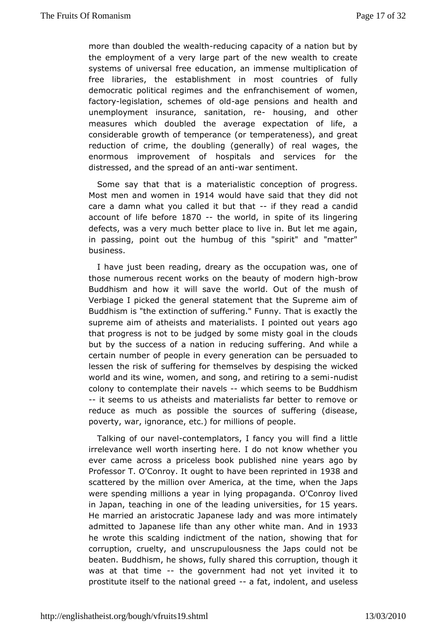more than doubled the rewebund that capacity of a nation but by theemployment of a very large part of the new wealth to cre systems of univferesealeducation, an immense multiplication of free libraries, the establishmest countries of fully democratic political regimes and the enoffrawnochinesme.ment factorly egislation, schemes a one pechaions and health and unemployment insurance, sanitationsinge and other measures which otheld the average expectation of life, a considerable growth of tempee anpoeera (toemess), and great reduction of crime, the doubling (genewagleys), othereal enormous improvement of hospitals and services for t distressend, d the spread of -awna na seintiment.

Some say that that masteallistic conception of progress. Most men and wome \$914 would have shaad they did not care a damn what you called it ibutthe wateadaadid account of life ble3f7o0-e the world, in spite of its lingering defects, was a very much better place to live in. But let me in passing, point out the humbug of this "spirit" and "matter" business.

I have jubseten reading, dreary as the occupation was, one c those numerous recent n wohnes beauty of modebnowigh Buddhism and how it will save the of world moush of Verbiage I picked the general statement that the Supreme ai Buddhism is "the extinction of suffering." Funny. That is exac supremæim of atheists and materialists. I pointed out years a that progress itsonboet judged by some misty goal in the clouds but by the success of a neaduconing in suffering. And while a certain number of people in every gbeepatiscumadead to lessen the risk of suffering for themselves which the designing the world and its wine, women, and song, and retuidist to a semi colonyo contemplate their-nahied b seems to be Buddhism --it seems to a uhseists and materialists far better to remove or reduce as much as possiboluerctehse of suffering (disease, poverty, war, ignorance, etc.) fore mpleons of

Talking of our-aanted mplators, I fancy you will find a little irrelevance well worth inserting here. I do not know whether ever came $c$  ross a priceless book published nine years ago  $\vdash$ Professor T. O'Conon.com/htlto have been reprines and the scattered by the million oveatAttherit came, when the Japs were spending millions a year in lyin**g** *c*ompragyahid ad in Japat eaching in one of the leading, funnit Sey satrises. He married an aristocratic Japanese lady and was more intim admittetob Japanese life than any other Awnloditien 9n3an he wrote this scand dincoment of the nation, showing that for corruption, cruelty, n saond pulousness the Japs could not be beaten. Buddhism, he shows, ftuhlilsy scharancepottion, though it was at that time he government had not vitted it to prostitute itself to the nationaal agreiend olenty seen  $d$  ss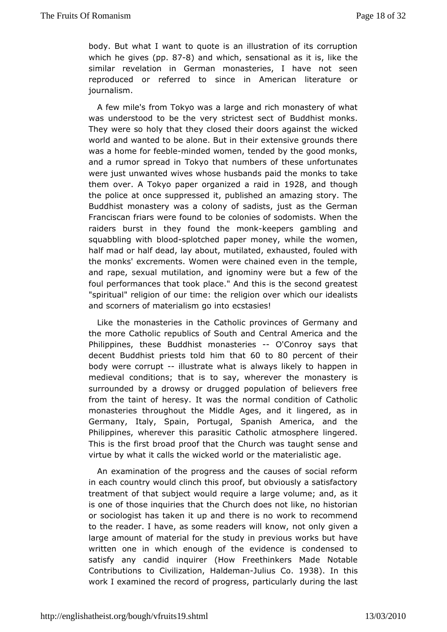body. But what I want to quote is an illustration of its corru which he gi( $p \oplus s$  87-8) and which ensational as like  $s$  is the similarevelation in German monasteries, I have not seer reproduced or referres dincteo in American literature or journalism.

A few mile's from Tokyloarwas a and rich monastery of what was understood to be the very striBtuedsch hisset choof ks. They were so holy that they closed their dwoorkead qainst the world and wanted to be alone. But in their extensive grounds was home for feenbilred ed women, tended by the good monks, and a rumor spre adkyo that numbers of these unfortunates were just unwanted wives whos**e ahid sthaen dheo**nks to take them oveA Tokyo paper organized a 9 2 \$ iad n dinhough the police at once suppressed it, published an amazing story Buddhist monastery was a colony of sadists, just as the Ge Franciscan fwiears found to be colonies of sodomists. When the raiders burst in they foumcodnkkheepers gambling and squabbling with  $-\sin\theta$   $\sin\theta$  -splotched paper money, which the which  $\theta$ half mad or half dead, lay about, mutilated, exhausted, fouled themonks' excrements. Women were chained even in the temp and rape, sexnuallation, and ignominy were but a few of the foul performances that that And this is the second greatest "spiritual" religion of ourrelinngeionthoever which our idealists and scorners of materialisences desimetso!

Like the monasteries in the Catholic provinces of Germany the more Catholic republics of South and Central America an Philippinebese Buddhist monasteOlesonroy says that decent Buddhist prieshtism tolheld to 80 percent of their body were cortuiptustrate what wisys likely to happen in  $međieval$  conditions; that is to say,  $m$ beastery the surrounded by a drowsy or drugged population of believers fromthe taint of heresy. It was the normal condition of Cath monasteriters roughout the Middle Ages, and it lingered, as i Germany, Italy, Spaintugal, Spanish America, and the Philippines, wherever this parassitinco  $\mathcal{L}$  pathological changered. This is the first broad proof that the Chuse on thaught virtue by what it calls the wicked world oratchee. materialistic

An examination of the progress and the causes of social re ineach country would clinch this proof, but obviously a satisfactory treatment that subject would require a large volume; and, as is one of those into the Church does not like, no historian or sociologist has taken tiheup and to work to recommend to the reader. I have, as some readencest wonlly kgniowen a large amount of material for the study in premaioeus works but written one in which enough of the evidence is condensed satisfy ano paid inquirer (How Freethinkers Made Notable Contributions to CivilHizaddieon, almulius Co . 38. In this work I examined the record op partiguessly during the last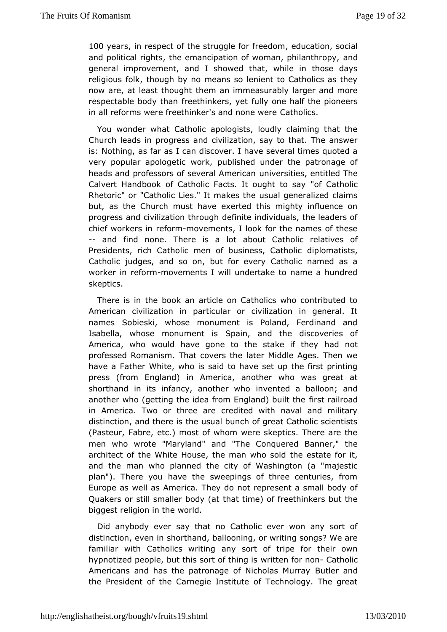100 years n respect of the struggle foord furoeard om social and political rights, the emancipation of womannd philanthropy general improvement, and I showed that, while in those d religious folk augh by no means so lenient to Catholics as the now are, at least thhoeurghan immeasurably larger and more respectable body than freethfully songehalf the pioneers in all reforms were freethinker's a**Cdthohics** were

You wonder what Catholic apologists, loudly claiming that Church leads in progress and civilization, say to that. The a is: Nothims, far as I can discover. I have several times quoted very popular apologetic published under the patronage of heads and professors of severahiames intituans, entitled The Calvert Handbook of Catholic Facts. It oofu@ hat htoolisay Rhetoric" or "Catholic Lies." It makes the usual generalized but, as the Church must have exerted this mighty influence progress acmidilization through definite individuals, the leaders chief workersefiormmovements, I look for the names of these -- and find none. There is about a Catholic relatives of Presidents, rich Catholic men of busionieps is mactaisins, I ic Catholic judges, and so on, but for every Catholic named worker in refmommements I will undertake to name a hundred skeptics.

There is in the book an article on Catholics who contribut American civilization in particular or civilization in gener namesSobieski, whose monument is Poland, Ferdinand and Isabella, whose monum&pains and the discoveries of America, who would have gone to the shtaadken oft they professed Romanism. That covers the later Middle Ages. The have *Father* White, who is said to have set up the first print press (from EnglianndA) merica, another who was great at shorthand in its infancy, anoth wented to a balloon; and another who (getting the idea from Engliansd) rabilit that the in America. Two or three are credited with naval and mili distinction, and there is the usual bunch of great Catholic sc (PasteuFrabre, etc.) most of whom were skeptics. There are t men who wrote "Maryalmand" The Conquered Banner," the architect of the White House, the mthe white for it, and the man who planned the city of Washington (a "maje: plan"). There you have the sweepings of three centuries, Europe as weAlmæsica. They do not represent a small body of Quakers or still smallertbadytimed) of freethinkers but the biggest religion in the world.

Didanybody ever say that no Catholic ever won any sort distinction, evee morth and, ballooning, or writing songs? We are familiar with Catholics awy itsingt of tripe for their own hypnotized people, but this sorwtrothtething rins and holic Americans and has the patronage of NiButler and Mudrray the President of the Carnegie Institute of Technology. The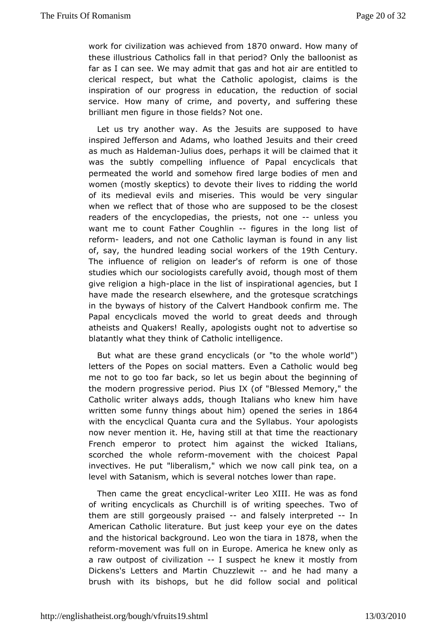workfor civilization was achiel&e7@ofrrwenrothow many of these illustrCausolics fall in that period? Only the balloonist far as I can see. Waed minay that gas and hot air are entitled to clerical respect, but  $w$  **atholic** apologist, claims is the inspiration of our progress in educedauted ingnitude social service. How many of crime, and poverty, and suffering th brilliant men figure in those fields? Not one.

Let us try another wawe Assuits are supposed to have inspired Jefferson and Adams, who suit beathed their creed as much as Haldemans does, perhaps ctlawimb behat it was the subtly compelling influence of Papal encyclicals permeated the world and somehow fired large bodies of men women (moss kyeptics) to devote their lives to ridding the worl of its medieval evimsis and mides. This would be very singular when we reflect that of thos supposed to be the closest readers of the encyclopedias, the priesutssless atyone want me to count Father C-ofughliers in the long list of reformleaders, and not one Catholic layman is found in any of, say, the hundred leading social work  $\theta$  of the the try The influence of religeandeo's of reform is one of those studies which our sociologis a you direfund by qh most of them give religion aphage in the list point and agencies, but I have made the research elsewhegreqtesquehecratchings in the byways of history of the Calvert Hammedbook confirm Papal encyclicals moved the world to great deeds and thre atheists and Quakers! Really, apologists ought not to advertise blatantly what they of Catholic intelligence.

But what are these grand ency to tid whole world") letters of the Popes on social matters. Found a Contholic me not to go too far back, so let us begin about the beginni themodern progressive period. Pius IX (of "Blessed Memory," Catholic wrat ways adds, though Italians who knew him have written some funny thinghsima bopened the series 6 4n with the encyclical Quanta cura and Ytoher Sayplodogissts now never mention it. He, having still ante alcato himary the French emperor to protect him against the wicked Italia scorchetche whole refrom mement with the choicest Papal invectives. He"lpbuetralism," which we now call pink tea, on a level with Satanism, wewehaisnotches lower than rape.

Then came the great e-wory telical Koll. He was as fond of writing encyclicals as Churchill is of wTrwitcing f speeches. them are still gorgeously-parmed sead sely interprethed American Catholic literature. But just keep your eye on the and thheistorical backgridoeuon ow on the tiarroar Bnwhen the reform-movement wfaustion in Europe. America he knew only as a raw outpost of civilizastue pect he knew it mostly from Dickens's Letters and Martin -Ghaunzdzloeowiatd many a brush with its bishops, but he did follow social and poli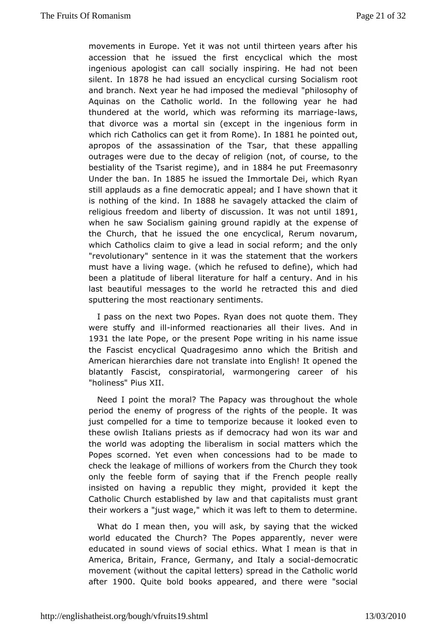movements in Europe. Yet it was not until thirteen vears after accessidhat he issued the first encyclical which the mos ingenious apologist csaoncially inspiring. He had not been silent n 1878 he had issued an encyclical Socialism root and branch. Next year he had imposed philonsophine walf Aquinas on the Catholic world. In the following year he thundered at the world, which was reforming wists marriage that divorce avamsortal sin (except in the ingenious form in which rich Catholics  $c$ fan mg e doint  $\phi$ n 1881 he pointed, out apropos of the assassination ofthattethTessae, appalling outrages were due to the decay of religion  $t$  (notice of course, bestiality of the Tsaristanedgimm  $884$ he put Freemasonry Undethe ban h 1885 he issued the Immortawle id he i Ryan still applaudsfiams ademocratic appeal; and I have shown that it is nothing of the Inkilm8cB 8he savagely attacked the claim of religious freedom and liberty ofitd was assob nuth 8 91,1 when he saw Socialism gaining ground example on and f the the Church, that he issued the one encyclical, Rerum nova whichCatholics claim to give a lead in social reform; and the "revolution as reyn't ence in it was the statement that the workers must have a living (www.thageh he refused to define), which had been a platitude of liberalf dirtehraal fu ae century. And in his last beautiful messages to the world this reentdadied sputtering the most reactionary sentiments.

I pass on theat two Popes. Ryan does not quote them. They were stuffy anichfolrimerdeactionaries all their lives. And in 1931 the late Popethe present Proipieng in his name issue the Fascist encyclical Quadragesimo aBinictish histories American hierarchies dare not translate into English! It opene blatantly Fascist, conspiratorial, warmongering career of "holiness" Rius

Need I point the moral? The Papacy was throughout the wh periodhe enemy of progress of the rights of the people. It w just compelled ficmeato temporize because it looked even to these owlish Italians prideffiso assacity had won its war and the world was adopting the liberalmsant temss which the Popes scorned. Yet even when concessions had to be mad check the leakage of millions of workers from the Church they only the eble form of saying that if the French people real insisted on havimegouablic they might, provided it kept the Catholic Church established thy atlaa vapaint allists must grant their workers a "just wage," which thte masole ett to them ine.

What do I mean then, you will ask, by say yinked that the world educated the Church? The Popes apparently, never \ educated sionund views of social ethics. What I mean is that America, Britain, FGenmo any, and Italy adesoncioarlatic movement (without the capitable at the Catholic world after1900 Quite bold books appeared retcheweere "social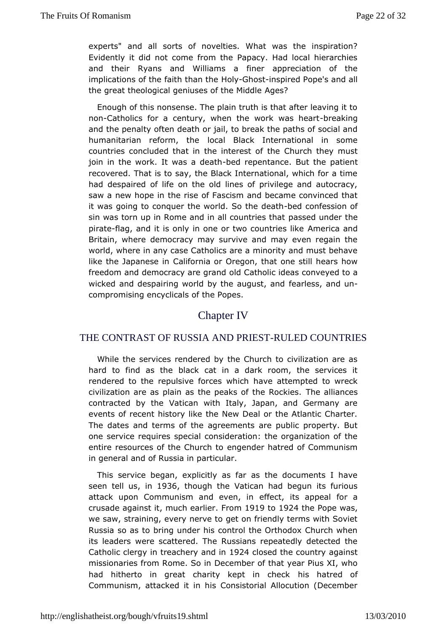experts" and all sorts of novelties. What was the inspirat Evidently it did not come from the Papacy. Had local hierar and their Ryaamsd Williams a finer appreciation of the implications of the faith Hold a Ghip blog and a solid redefinition of all the great theological geniuses  $\alpha$ fgehse? Middle

Enough of this nonsense. The plain truth is that after leavin non-Catholics for a century, when the wobike awkain gheart and the penaften death or jail, to break the paths of social ar humanitarian reform, local Black International in some countries concluded that in the the technologic betthey must join in the work. It was-bæddeaphentance. But the at recovered. That is to say, the Black International, which for haddespaired of life on the old lines of privilege and autoc saw a new hoptheinrise of Fascism and became convinced that it was going to conquer  $t$  **Se** who ride-to the confession of sin was torn up in Rome and in all passend eusn the at the pirate lag, and it is only in one or two **America** sanicke Britain, where democracy may survive and may even regain worldwhere in any case Catholics are a minority and must beh like the Japane California or Oregon, that one still hears how freedom and democracy aoddgCand dolic ideas conveyed to a wicked and despairing world by the feaand best, aamed un compromising encyclicals of the Popes.

### **Chapter<sub>I</sub>V**

### THE CONTRAST OF RUSSIA AND PRIES RULED COUNTRIES

Whilehe services rendered by the Church to civilization are hard to find asbitahoek cat in a dark room, the services it rendered to the repulsive for the exampled to wreck civilization are as plain as the peaks  $\overline{D}$  of the alli $\overline{R}$  and  $\overline{C}$  he sets. contracted by the Vatican with Italy, Japan, and Germany events of recent history like the New Deal or the Atlantic Ch The datessd terms of the agreements are public property. But one service reqspiecsal consideration: the organization of the entire resources of the  $\mathbb{G}_{m}$  entered of Communism in general and of Russia in particular.

Thisservice began, explicitly as far as the documents  $I$  have seen tell, ins1936 though the Vatican had begun its furious attack upon Communism and  $e$ fowlerst, ints appeal for a crusade against tuto earlifer om  $919$ to1924 the Pope was, we saw, straining, every nerve to get on friendly terms with S Russia so as to bring under his control the Orthodox Church its leadewsre scattered. The Russians repeatedly detected the Catholic clergy earthery ant 1924 closed the country against missionaries from RomDecSeambrer of that year Pius XI, who had hitherto in great charity kepthish hoaltesedk of Communism, attacked it in his Consistorial Allocution (Dece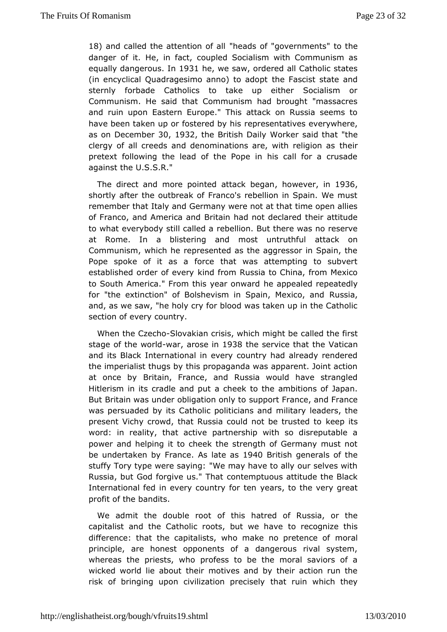18) and called the attention the  $\mathbf{a}$  of sall dovernments the danger of He., in fact, coupled Socialism with Communism as equally dangenous 31hewe saw, ordered all Catholic states  $(in$  encyclical Quadragesimo annton) et  $\overline{5}$  and  $\overline{5}$  and sternly forbade Catholics to take up either Socialism Communism. He said that Communism had brought "massacr and ruin upon Easteope." This attack on Russia seems to have been taken up or fostemend by his rives everywhere, as on Decem3bQen1932 the British Daily Wow orkethat "the clergy of all creeds and denominations are, theith religion as pretext following the lead of the Pope in his call for a  $cr$ againshe U.S.S.R."

The direct and more pointed attackebegan 936 shortly after the outbreak of Franco's rebellion in Spain. We remember theatly and Germany were not at that time open allie of Franco, and AmerBcrataind had not declared their attitude to what everybody stillrebelled ba. But there was no reserve at Rome. In a blistering and most authatorkuthoful Communism, which he represented as the aggressor in Spain Popespoke of it as a force that was attempting to subve established order okindefryom Russia to China, from Mexico to South America." From this ybara opwardd repeatedly for "the extinction" of Bolshevism in SpaiRus Miexico, and and, as we saw, "he holy cry for blood was taken up in the  $C\epsilon$ section of every country.

When the  $Cz$  e $S$ clho  $\alpha$  a kian crisis, which chaild and the called the called the called the  $Cz$ stage of the wwo art darose in 038 the service that at hoean and its Black International in every country had already rend theimperialist thugs by this propaganda was apparent. Joint a at once byritain, France, and Russia would have strangled Hitlerism in its cradle aand benewitto the ambitions of Japan. But Britain was under obligation ponty France, and France was persuaded by its Catholic porhiitlictian gsleand ders, the present Vichy crowd, that Russia could not be the itt susted to word: in reality, that active partnership with so disreputat powerand helping it to cheek the strength of Germany must no be undertaken France as late as 40 British generals of the stuffy Tory type were "s Magim gay have to ally our selves with Russia, but God forgive asn't eThipattuous attitude the Black International fed in every countery risort dethe very great profit of the bandits.

We admit the doubleofrotonis hatred of Russia, or the capitalist and the Catholic roots, to the we og have this difference: that the capitalists, who make momen apiretence of principle, are honest opponents of a dangerous rival sys whereas the ests, who profess to be the moral saviors of  $\iota$ wicked world lie abountothweeis and by their action run the risk of bringing upon civilization aprecciinse wyhich they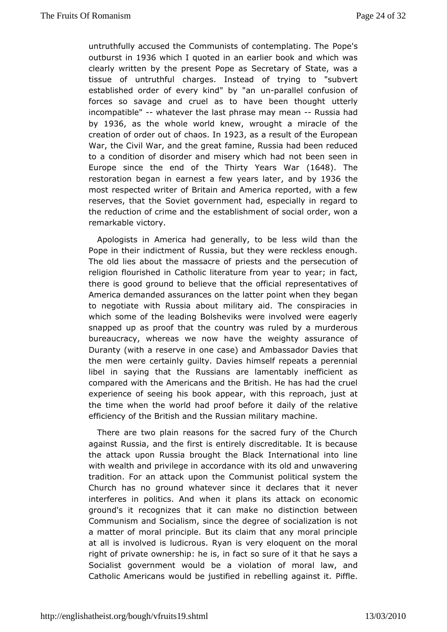untruthfully accused the Communists of contempolenting. The outburst in 1936 which I quoted in an earlier book and which was clearly ritten by the present Pope as Secretary of State, was tissue of untrutchfaulaes. Instead of trying to "subvert established order of every kinuch" pabryalleh confusion of forces so savage and cruel as to have ubteenlythought incompatiblew hatever the last phrase maruse ban had by 1936 as the whole world wing under a miracle of the creation of order contato.din 1923 as a result of the European War, the Civil War, and taminge a Russia had been reduced to a condition of disorder and misemotwheieh haden in Europe since the end of the Thirty (1664  $\frac{1}{2}$  Thirty restoration began in earnest a few and abs 936 the most respecwedter of Britain and America reported, with a fev reserves, that the Gooweient ment had, especially in regard to the reduction of crime exand buthschment of social order, won a remarkable victory.

Apologists Aimerica had generally, to be less wild than the Pope in their indictressiaf but they were reckless enough. The old lies about the massiasts and the persecution of religion flourished in Catholic live partuto ever am in fact, there is good ground to believe that pthees conficialize to of America demanded assurances on the latter began an when they to negotiate with Russia about military aid. The conspiraci whichsome of the leading Bolsheviks were involved were eage snapped up as phabfthe country was ruled by a murderous bureaucracy, whereas we now when independent of Duranty (with a reserve in one case) and Amthastsador Davies the men were certainly guilty. Davies himself repeats a pere libel isaying that the Russians are lamentably inefficient compared with Athericans and the British. He has had the cruel experience of seeing haips book with this reproach, just at the time when the world had prodaibefore the relative efficiency of the British and the Rumsascian menilitary

There are two plain reasons for the sacred fury of the Ch against Russia, and the first is entirely discreditable. It is t theattack upon Russia brought the Black International into with wealth pamidilege in accordance with its old and unwaverin tradition. For an aptenck the Communist political system the Church has no ground whatevede slance es ithat it never interferes in politics. And when it plansecidssomaticack on ground's it recognizes that it can make no distinction bety Communism and Socialism, since the degree of socialization a matter motral principle. But its claim that any moral princip at all is involvedicsous. Ryan is very eloquent on the moral right of private ownership: factiso sure of it that he says a Socialist government would be afviordaalon aw, and Catholic Americans would be justified in re **Bettieg** against it.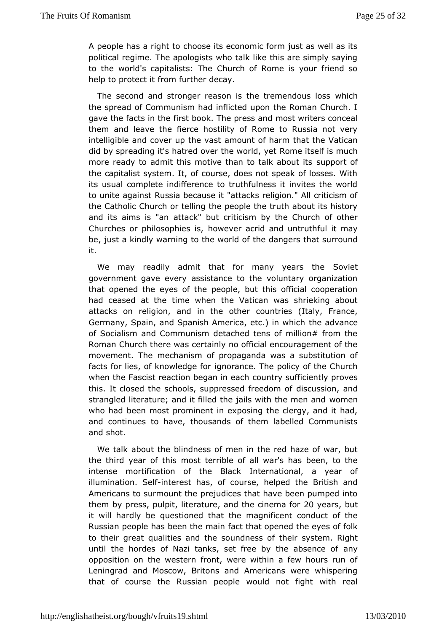A people has a right to choose its economic form just as well political regime. The apologists who talk like this are simply to theworld's capitalists: The Church of Rome is your friend help to prote  $f$  to  $f$  is further decay.

The second and stronger reason is the twelmichdous loss the spread of Communism had inflicted upon the Roman Church. I gave thacts in the first book. The press and most writers cone them and leave fit the first hostility of Rome to Russia not very intelligible and cover up a thrhoeur whas suff harm that the Vatican did by spreading it's hatred over the ammeoring lyfelts much more ready to admit this motive than to supply constant its the capitalist system. It, of course, does not speak of losses its usual complete indifference to truthfulness it invites the to unitegainst Russia because it "attacks religion." All criticis the CathoChourch or telling the people the truth about its histor and its aims isattanck" but criticism by the Church of other Churches or philosophios we vier acrid and untruthful it may be, just a kindly warning to the be world and that surround it.

We may readily admit that for many Sycewalest the government gave every assistance to the voluntary organization thatopened the eyes of the people, but this official coopera had ceased attithe when the Vatican was shrieking about attacks on religion, and in then brihes (Italy, France, Germany, Spain, and Spanish America, the ecald wan when ich of Socialism and Communism detached tens of million# from RomanChurch there was certainly no official encouragement of movement. Trime chanism of propaganda was a substitution of facts for lies, of know**igdgea fore**. The policy of the Church when the Fascist reaction began in yeach ficiently proves this. It closed the schools, suppressobios cfuse idoonm and d strangled literature; and it filled the jails wothethe men and who had been most prominent in exposing the clergy, and it andcontinues to have, thousands of them labelled Communi and shot.

We talakbout the blindness of men in the red haze of war, b the third year of this terrible of all war's has been, to the intense mortification of the enterthional, a vear of illumination.-i**6.ted fe**st has, of course, h**e** Irpiteids hthe end Americans to surmount the prejudices that have been pumped themby prespsulp, it iteraty mend the cinema of  $\psi$  ears sut it will hardly qube estioned that the magnificent conduct of the Russian people has been face that in opened the eyes of folk to their great qualities and the stohuenidnseys steomf. Right until the hordes of Nazi tanks, set free by any absence of opposition on the western front, were within a few hours ru Leningraachd Moscow, Britons and Americans were whisperin that of course the Rpussop also would not fight with real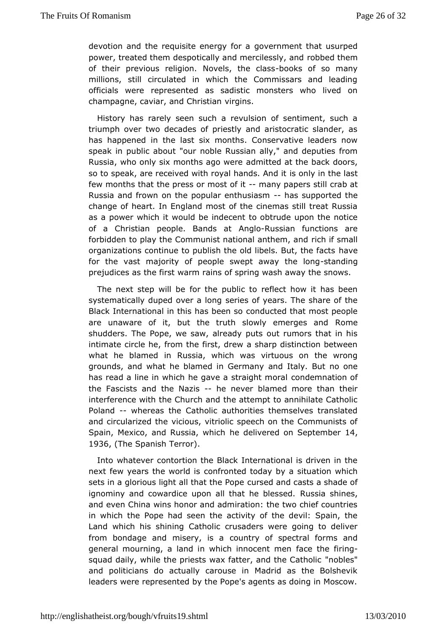devotion and the requisite ence or a former at that usurped power, treated them despotically and mreorbobileeds sthye, mand of their previous religion. Novels ooks e codlassos many millions, still circulated in which the Commissars and lead officials were represented as sadistic monsters who lived on champagne, caviar, and Cihr giisnts an

History has rarely seen such a revulsion of sentiment, su triumph over two decades of priestly and aristocratic slander has happened the last six months. Conservative leaders now speak in public aboubb"loeu Russian ally," and deputies from Russia, who only six months a dimot we celreat the back doors, so to speak, are received with royalish and pin Antibeitlast few months that the press or-mmoantyopapers csrtabl at Russia and frown on the popular-ehalsusupported the changef heart. In England most of the cinemas still treat Russian as a power whiwe builtd be indecent to obtrude upon the notice of a Christian people. Band bo assian functions are forbidden to play the Communist national canthem ald nd organizations continue to publish the old lible as e But, the fact for the vast majority of people swept as wanding long prejudicest has first warm rains of spring wash away the snows.

The next step wiblr btehe public to reflect how it has been systematically duped ovesera elsonog years. The share of the Black International in this has nuited the dothat most people are unaware of it, but the truth slowly Reomeneges and shudders. The Pope, we saw, already puts out rumors that in intimateircle he, from the first, drew a sharp distinction betw what he blamed Ruissia, which was virtuous on the wrong grounds, and what he blamed iman@dethmadyny But no one has read a line in which he gave a stormade mithe motional of the Fascists and the Nazis ever blamed more than their interference with the Church and the attempt to annihilate Ca Poland- whereas the Catholic authorities themselves translat and circularized dictions, vitriolic speech on the Communists of Spain, Mexico, and Russhae, dwehlion bered on Septie4, mber 1936(The Spanish Terror

Into whate contortion the Black International is driven in the next few years the woconduroinated today by a situation which sets in a glorious light all the autristed Brodecasts a shade of ignominy and cowardice upon all tha $R$  uhe esibales sheath ship and  $R$ and even China wins honor and admiration: the two chief cour in which the Pope had seen the activity of the devil: Spain Land which shisning Catholic crusaders were going to delive from bondage and miser ouinstra of spectral forms and general mourning, a land in which inan concent mentioning squad daily, while the priests wax fatter, "annodoltehse" Catholic and politicians do actually carouse in Madrid as the Bols leade wsere represented by the Pope's agents as doing in Mosc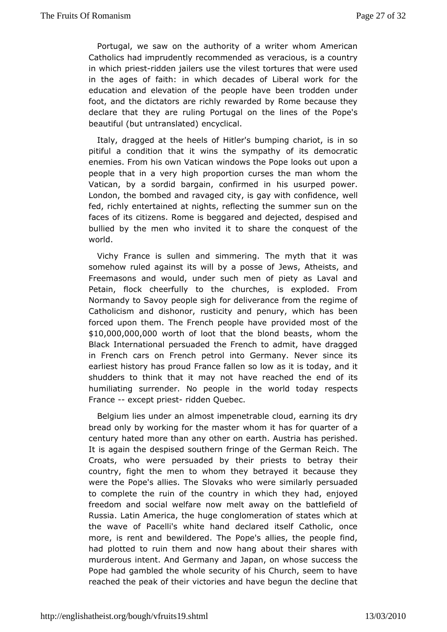Portugal, we comaw the authority of a writer whom American Catholics had imprudently recommemended dus, is a country in which prieds den jailers use the envilles est that were used in the ages of faith: in which decades of for Litcheeral work education and elevation of the people have been trodden u foot, ande dictators are richly rewarded by Rome because th declare that they u bing Portugal on the lines of the Pope's  $be a util (but untrain as the lineal.$ 

Italy, dragged at the heels of Hitler's bumpsmog chariot, is pitiful a condition that it wins the sympathy of its democ enemies. Fhas own Vatican windows the Pope looks out upon people that in a verpyrohpi**gh** tion curses the man whom the Vatican, by a sordid bargain, conistinums and power. London, the bombed and ravaged city, is gay weilth confidence fed, richly entertained at nights, reflecting the summer sun c facesf its citizens. Rome is beggared and dejected, despised bullied by the workeon invited it to share the conquest of the world.

Vichy France is audessimmering. The myth that it was somehow ruled against its will by eaw post stened its, and Freemasons and would, under such men of piety as Laval Petain, flock cheerfully to the churches, is exploded. F Normandy to Speople sigh for deliverance from the regime of Catholicism and disrluosnt bority and penury, which has been forced upon them. The French poencopylied enda wrepost of the  $$10,000,000,000$ ,  $0.000$  rth of loot that the blo, nudh benalssets Black International persuaded the French to admit, have dra in Frenchars on French petrol into Germany. Never since it earliest history has  $F$  prance and fallen so low as it is today, and it shudders to think that it hmaaye meached the end of its humiliating surrender. No people in therewspelet stoday France except priesdden Quebec.

Belgium lies undeelmast impenetrable cloud, earning its dry bread only by working for thwehommastehras for quarter of a century hated more than any other on leasther Assistemia It is again the despised southern fringe of the German Reich Croats, who were persuaded by their priests to betray tl country, fight mtehne to whom they betrayed it because they were the Pope's allies. The Slowers essimilarly persuaded to complete the ruin of the country ihad, hiem jothery freedom and social welfare now melt away on the battlefiel Russia. Latin America, the huge conglomeration of states wh the wave @acelli's white hand declared itself Catholic, on more, is rent beenwelldered. The Pope's allies, the people find had plotted to ruin them **and** gnawout their shares with murderous intent. And Germany and Japsanc, comes whomese Pope had gambled the whole security of his Church, seem to reached the peak of their victories and have begun the declin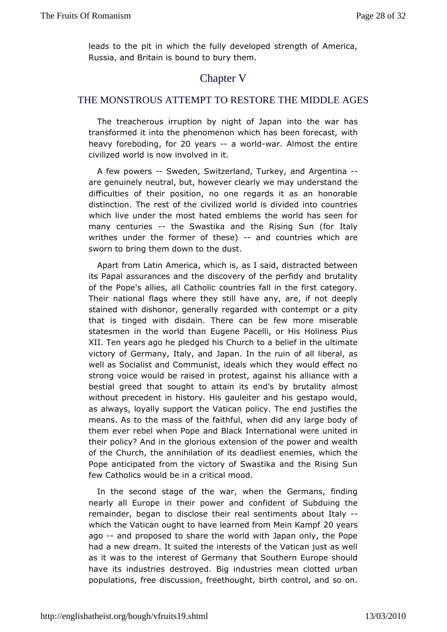leads to the in which the fully developed strength of Americ Russia, and Brita in its to bury them.

## Chapter V

#### THE MONSTROUS ATTEMPTTO RESTORE THE MIDDLE AGES

The treacherous irruption by nighttoofthe pwaar has transformed it into the phenomenon which hawsitheen forecast, heavy forebo,dfiong 20 years- a world ar. Almost the entire civiliz would is now involved in it.

A few power Sweden, Switzerland, and Kargentina are genuinely neutral, but, however clearly we heavy understan difficulties of their position, no one regards it as an hond distinction. The rest of the civilized world is divided into co whichive under the most hated emblems the world has seen many centurieshe Swastika and the Rising Sun (for Italy writhes under the former  $of$  andsoluntries which are sworn to bring them down to the dust.

Apart from Latinerica, which is, as I said, distracted betweer its Papal assurances dand owneary of the perfidy and brutality of the Pope's allies, aldo@athologiscfall in the first category. Their national flags where the any tilar beavie not deeply stained with dishonor, generally regarded own athpict gntempt that is tinged with disdain. There can be few more misera statesmen the world than Eugene Pacelli, or His Holiness P XII. Ten years apploedhoped his Church to a belief in the ultimate victory of Germany, Italay pamandin the ruin of all liberal, as well as Socialist and Communistichid bays would effect no strong voice would be raised in protessitl, i aangcae invositt his bestial greed that sought to attain its endlmobsyt brutality without precedent in history. His gauleiter and his gestapo v asalways, loyally support the Vatican policy. The end justifie means. Asthe mass of the faithful, when did any large body of them ever rebel when Pobleack International were united in their policy? And in the explomiscions of the power and wealth of the Church, the annihilad ecard loot sitt senemies, which the Pope anticipated from the victory of  $t$ 8 warshiskaga Sodn few Catholics would be in a critical mood.

In the secosntolge of the war, when the Germans, finding nearly all Europe in their pocovnerdement of Subduing the remainder, began to disclose their readdosuenttimenty ants which the Vatican ought to have learned flom endership Kampf ago--and proposed to share the world with Japan only, the Pope had a nedweam. It suited the interests of the Vatican just as w as it was toimherest of Germany that Southern Europe should have its industries deBtigoyedustries mean clotted urban populations, free discussion, forier eh hough that, and so on.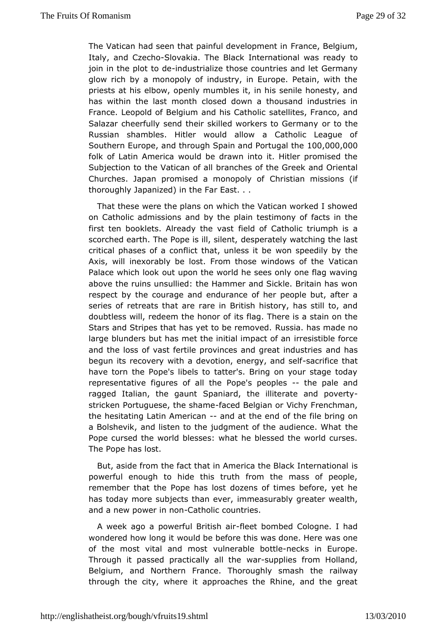The Vatican had seen that painful  $dF$  vahen  $B$  retidium, Italy, and Cz-Sthoakia. The Black Internationatowas ready join in the plot-inod destrialize those countries and let Germany glowrich by a monopoly of industry, in Europe. Petain, with priests atehbsow, openly mumbles it, in his senile honesty, an has within the last onhosseld down a thousand industries in France. Leopold of Belgium and shaitse I Ciaths of Fanco, and Salazar cheerfully send their skilled worker sotoh Germany Russian shambles. Hitler would allow a Catholic League SoutherEnuropeand through Spain and Portt@mg, 2000h, 000 folk of Latin Amweoudd be drawn into it. Hitler promised the Subjection to the Vaticbarra roof haeld of the Greek and Oriental Churches. Japan promised a m Chropsotliyan of missions (if thoroughly Japanized) in the Far East. . .

Thathese were the plans on which the Vatican worked I shov on Catholic admiss nio hosy the plain testimony of facts in the first ten booklets. Alreadyfield wastatholic triumph is a scorched earth. The Pope is  $\sinh(\theta)$  watching the last critical phases of a conflict that wounless eidilby e by the Axis, will inexorably be lost. From those Wainidaws of the Palace which look out upon the world he sees only one flag w abov the ruins unsullied: the Hammer and Sickle. Britain has respect by dberage and endurance of her people but, after  $\varepsilon$ series of retreats thanteaire British history, has still to, and doubtless will, redeem the thor of here is a stain on the Stars and Stripes that has yet to Ruesse ano was made no large blunders but has met the initial rienspiatit bloef faource and the loss of vast fertile provinces and agede that industries begun its recovery with a devotion, ensear gryifiae dthaset of havetorn the Pope's libels to tatter's. Bring on your stage to representatfing ares of all the Pope's-pleep beade and ragged Italian, the Sypaanmitard, the illiterate and poverty stricken Portuguese, the a sende enlegian or Vichy Frenchman, the hesitating Latin A-menic cant the enton coffile bring on a Bolshevik, and listen to the judgment of the haudience. Wha Pope cursed the world blesses: what he blessed the world cu The Po**has** lost.

But, aside from the fact that in America the Bilsack Internation powerful enough to hide this truth from the mass of peop remember that Ptohpee has lost dozens of times before, yet he has today more subjects thimam eeaweurably greater wealth, and a new power in antonlic countries.

A week ago a powerful Brfiltesh baombed Cologne. I had wondered how lown could be before this was done. Here was one of the most vital and umhnoes table bonted teks in Europe. Through it passed practicalwarsulpphies from Holland, Belgium, and Northern France. Thoroughly ails was as the through the city, where it approaches the Rhine, and the g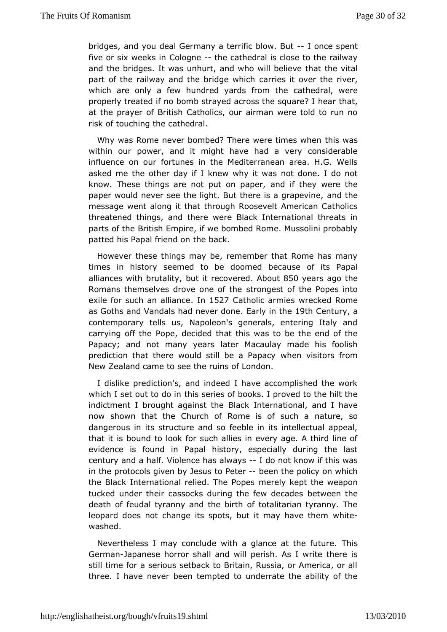bridges, and you deal Germany a terrific bloomyce Bouxtent five or six wee Cks long nethe cathedral is close to the railway and the bridges. It was and hwhit will believe that the vital part of the railway and the brocalent explicit hover the river, which are only a few hundred yardcsatfrrom the were properly treated if no bomb strayed across the asquare? I hear at the prayer of British Catholics, our airman were told to r risk dbuching the cathedral.

Why was Rome never bombed? There werthis inweas when within our power, and it might have had a very considera influence our fortunes in the Mediterranean area. H.G. Wel asked me the other Id a we why it was not done. I do not know. These things are not putand plapery were the paper would never see the light. But thereamsd ahograpevine, message went along it that through Roosevelt American Cath threatened things, and there were Black International threa parts of *Ehreitish Empire*, if we bombed Rome. Mussolini probab patted his Papal fribedback.

However these things may be, remember that Rome has ma timesin history seemed to be doomed because of its Pap alliances with brubtuatlity, recove  $A \bullet \phi$ u 850 years ago the Romans themselves drove one configulation of the Popes into exile for such an alhiab & & Catholic armwires wed Rome as Goths and Vandals had never tydionn of the century contemporary tells us, Napoleon's generals, entering Italy carrying off Ptoh pee, decided that this was to be the end of the Papacy; and not manylatearsMacaulay made his foolish prediction that there would still wehen Raspialors from New Zealand came to see the ruins of London.

I dislike ediction's, and indeed I have accomplished the wo which I set out to thois in the series of books. I proved to the hilt the indictment I brought agaBh at kthe ternational, and I have now shown that the Church of Rome issatoufres, u osho a dangerous in its structure and so feeble in its intellectual  $\varepsilon$ that it is bound to look for such allies in every age. A third evidencies found in Papal history, especially during the la century and a Vhiaolifence has alwlay is not know if this was in the protocols given toy Pleetseurbeen the policy on which the Black International relied. m Einely Pokpes the weapon tucked under their cassocks during the effew ve eche dades death of feudal tyranny and the birth of totalitarian tyranny leopard does not change its spots, but it whait the them washed.

Nevertheless I may conclude with a glance  $\overline{r}$  has the future. Germadapanese horror shall and will perish. As I write there stiluime for a serious setback to Britain, Russia, or America, three. I hawe wer been tempted to underrate the ability of the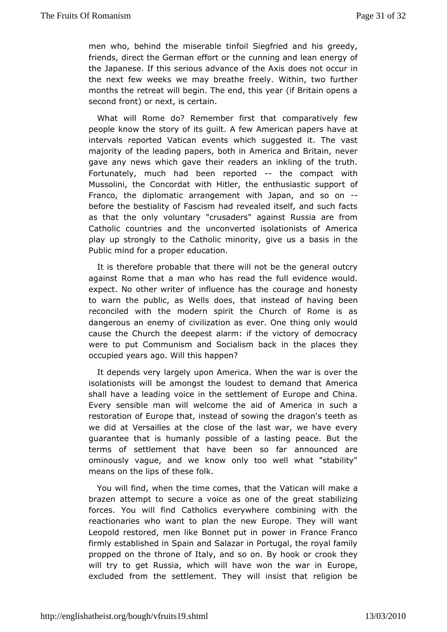men who, behind the mission fabile Siegfried and his greedy, friends, direct the German etfuorntiong tahred lean energy of the Japanese. If this serious advandees fint the occurs in the next few weeks we may breathe freely. Within, two furt months the retreat will begin. The end, this year (if Britain o seconfornt) or next, is certain.

What will Rome do? Remember cfoimsptathatively few people know the story of its quilt. A few American papers ha intervals reported Vatican events which suggested it. The majority tohfe leading papers, both in America and Britain, nev gave any news which the anvereaders an inkling of the truth. Fortunately, much had been -rephoeted ompact with Mussolini, the Concordat with Hitler, the entausiastic supper Franco, the diplomatic arrangement with Japan, and so or before the stiality of Fascism had revealed itself, and such factor as that the ovrollyuntary "crusaders" against Russia are from Catholic countries amdcoheerted isolationists of America play up strongly to the Catholic ivmeinus riav basis in the Public mind for a proper education.

It is thereforme bable that there will not be the general outcry against Rome that a mhas whe cad the full evidence would. expect. No other writer of influence tere and the honesty to warn the public, as Wells does, that inbleeend of having reconciled with the modern spirit the Church of Rome is dangerous eannemy of civilization as ever. One thing only woul cause the Church the deeerpmest if the victory of democracy were to put Communism and Socialitshe place sinthey occupied years ago. Will this happen?

It depends vargely upon America. When the war is over the isolationists will be amdogdestheo demand that America shall have a leading voice in the Euertdpeneamtdo**hina.** Every sensible man will welcome the aid of America in sur restoration of Europe that, instead of sowing the dragon's tewe did atersailles at the close of the last war, we have eve guarantee that is hupmossible of a lasting peace. But the terms of settlement that have beannosoncfead are ominously vague, and we know only too well what "stabil meansn the lips of these folk.

You will find, when the time com batid and the make a brazen attempt to secure a voice as onetaobilitizen great forces. You will find Catholics everywhere combining with reactionaries who want to plan the new Europe. They will w Leopold restomed, like Bonnet put in power in France Franco firmly established in S**\$aiazam**din Portugal, the royal family propped on the throne of Italy, Baynothosook com. crook they will try to get Russia, which will have wool or the war in excluded from the settlement. They will insist that religio